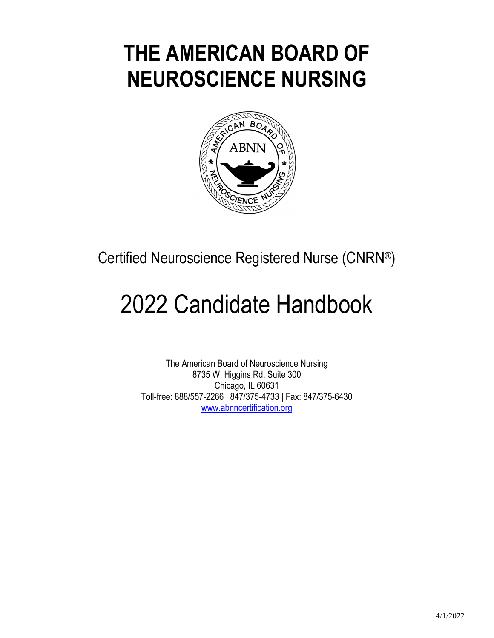# **THE AMERICAN BOARD OF NEUROSCIENCE NURSING**



Certified Neuroscience Registered Nurse (CNRN®)

# 2022 Candidate Handbook

The American Board of Neuroscience Nursing 8735 W. Higgins Rd. Suite 300 Chicago, IL 60631 Toll-free: 888/557-2266 | 847/375-4733 | Fax: 847/375-6430 www.abnncertification.org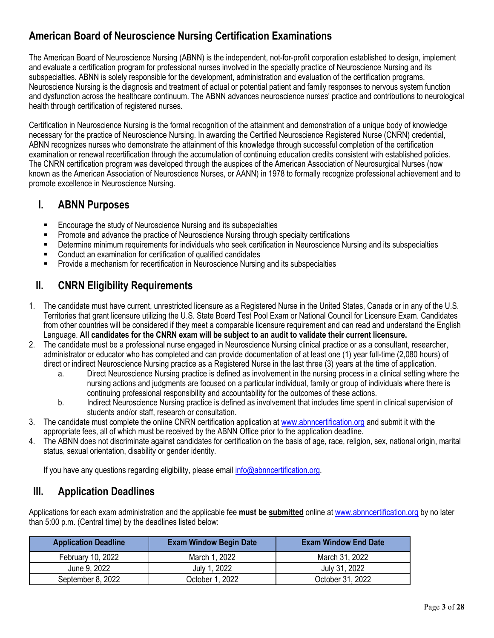## **American Board of Neuroscience Nursing Certification Examinations**

The American Board of Neuroscience Nursing (ABNN) is the independent, not-for-profit corporation established to design, implement and evaluate a certification program for professional nurses involved in the specialty practice of Neuroscience Nursing and its subspecialties. ABNN is solely responsible for the development, administration and evaluation of the certification programs. Neuroscience Nursing is the diagnosis and treatment of actual or potential patient and family responses to nervous system function and dysfunction across the healthcare continuum. The ABNN advances neuroscience nurses' practice and contributions to neurological health through certification of registered nurses.

Certification in Neuroscience Nursing is the formal recognition of the attainment and demonstration of a unique body of knowledge necessary for the practice of Neuroscience Nursing. In awarding the Certified Neuroscience Registered Nurse (CNRN) credential, ABNN recognizes nurses who demonstrate the attainment of this knowledge through successful completion of the certification examination or renewal recertification through the accumulation of continuing education credits consistent with established policies. The CNRN certification program was developed through the auspices of the American Association of Neurosurgical Nurses (now known as the American Association of Neuroscience Nurses, or AANN) in 1978 to formally recognize professional achievement and to promote excellence in Neuroscience Nursing.

## **I. ABNN Purposes**

- Encourage the study of Neuroscience Nursing and its subspecialties
- **Promote and advance the practice of Neuroscience Nursing through specialty certifications**
- Determine minimum requirements for individuals who seek certification in Neuroscience Nursing and its subspecialties
- Conduct an examination for certification of qualified candidates
- Provide a mechanism for recertification in Neuroscience Nursing and its subspecialties

## **II. CNRN Eligibility Requirements**

- 1. The candidate must have current, unrestricted licensure as a Registered Nurse in the United States, Canada or in any of the U.S. Territories that grant licensure utilizing the U.S. State Board Test Pool Exam or National Council for Licensure Exam. Candidates from other countries will be considered if they meet a comparable licensure requirement and can read and understand the English Language. **All candidates for the CNRN exam will be subject to an audit to validate their current licensure.**
- 2. The candidate must be a professional nurse engaged in Neuroscience Nursing clinical practice or as a consultant, researcher, administrator or educator who has completed and can provide documentation of at least one (1) year full-time (2,080 hours) of direct or indirect Neuroscience Nursing practice as a Registered Nurse in the last three (3) years at the time of application.
	- a. Direct Neuroscience Nursing practice is defined as involvement in the nursing process in a clinical setting where the nursing actions and judgments are focused on a particular individual, family or group of individuals where there is continuing professional responsibility and accountability for the outcomes of these actions.
	- b. Indirect Neuroscience Nursing practice is defined as involvement that includes time spent in clinical supervision of students and/or staff, research or consultation.
- 3. The candidate must complete the online CNRN certification application at www.abnncertification.org and submit it with the appropriate fees, all of which must be received by the ABNN Office prior to the application deadline.
- 4. The ABNN does not discriminate against candidates for certification on the basis of age, race, religion, sex, national origin, marital status, sexual orientation, disability or gender identity.

If you have any questions regarding eligibility, please email info@abnncertification.org.

## **III. Application Deadlines**

Applications for each exam administration and the applicable fee **must be submitted** online at www.abnncertification.org by no later than 5:00 p.m. (Central time) by the deadlines listed below:

| <b>Application Deadline</b> | <b>Exam Window Begin Date</b> | <b>Exam Window End Date</b> |
|-----------------------------|-------------------------------|-----------------------------|
| February 10, 2022           | March 1, 2022                 | March 31, 2022              |
| June 9, 2022                | July 1, 2022                  | July 31, 2022               |
| September 8, 2022           | October 1, 2022               | October 31, 2022            |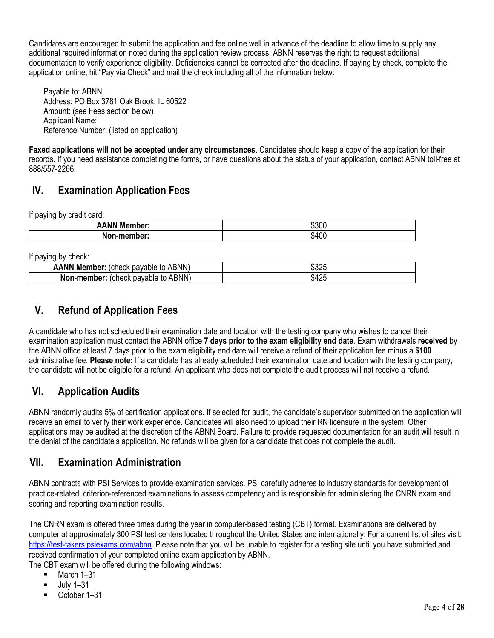Candidates are encouraged to submit the application and fee online well in advance of the deadline to allow time to supply any additional required information noted during the application review process. ABNN reserves the right to request additional documentation to verify experience eligibility. Deficiencies cannot be corrected after the deadline. If paying by check, complete the application online, hit "Pay via Check" and mail the check including all of the information below:

Payable to: ABNN Address: PO Box 3781 Oak Brook, IL 60522 Amount: (see Fees section below) Applicant Name: Reference Number: (listed on application)

**Faxed applications will not be accepted under any circumstances**. Candidates should keep a copy of the application for their records. If you need assistance completing the forms, or have questions about the status of your application, contact ABNN toll-free at 888/557-2266.

## **IV. Examination Application Fees**

If paying by credit card:

| .<br>.                |       |
|-----------------------|-------|
| <b>ANN</b><br>Member: | \$300 |
| .n.memher∙            | \$400 |

If paying by check:

| <br>-------                                                   |                         |
|---------------------------------------------------------------|-------------------------|
| ABNN <sup>\</sup><br><b>AANN Member:</b><br>(check<br>pavable | 0.005<br>ت∠ن            |
| ABNN)<br>Non-member:<br>to<br>neck<br>pavable                 | 10 <sub>0</sub><br>ა4∠ე |
|                                                               |                         |

## **V. Refund of Application Fees**

A candidate who has not scheduled their examination date and location with the testing company who wishes to cancel their examination application must contact the ABNN office **7 days prior to the exam eligibility end date**. Exam withdrawals **received** by the ABNN office at least 7 days prior to the exam eligibility end date will receive a refund of their application fee minus a **\$100** administrative fee. **Please note:** If a candidate has already scheduled their examination date and location with the testing company, the candidate will not be eligible for a refund. An applicant who does not complete the audit process will not receive a refund.

## **VI. Application Audits**

ABNN randomly audits 5% of certification applications. If selected for audit, the candidate's supervisor submitted on the application will receive an email to verify their work experience. Candidates will also need to upload their RN licensure in the system. Other applications may be audited at the discretion of the ABNN Board. Failure to provide requested documentation for an audit will result in the denial of the candidate's application. No refunds will be given for a candidate that does not complete the audit.

## **VII. Examination Administration**

ABNN contracts with PSI Services to provide examination services. PSI carefully adheres to industry standards for development of practice-related, criterion-referenced examinations to assess competency and is responsible for administering the CNRN exam and scoring and reporting examination results.

The CNRN exam is offered three times during the year in computer-based testing (CBT) format. Examinations are delivered by computer at approximately 300 PSI test centers located throughout the United States and internationally. For a current list of sites visit: https://test-takers.psiexams.com/abnn. Please note that you will be unable to register for a testing site until you have submitted and received confirmation of your completed online exam application by ABNN.

The CBT exam will be offered during the following windows:

- $-March 1-31$
- July 1–31
- October 1–31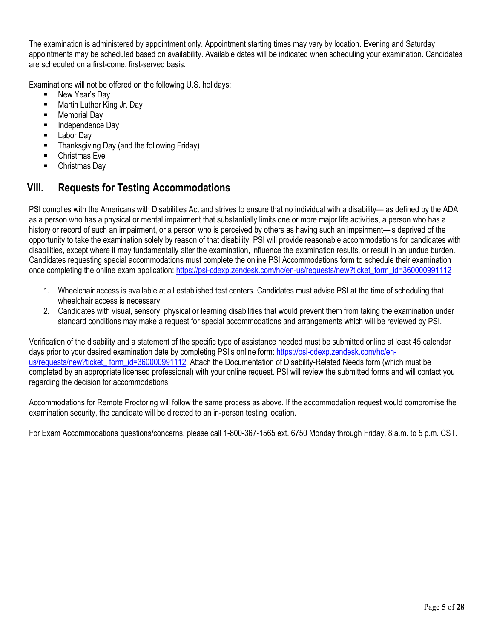The examination is administered by appointment only. Appointment starting times may vary by location. Evening and Saturday appointments may be scheduled based on availability. Available dates will be indicated when scheduling your examination. Candidates are scheduled on a first-come, first-served basis.

Examinations will not be offered on the following U.S. holidays:

- New Year's Dav
- **Martin Luther King Jr. Day**
- Memorial Day
- Independence Day
- Labor Day
- Thanksgiving Day (and the following Friday)
- Christmas Eve
- Christmas Day

## **VIII. Requests for Testing Accommodations**

PSI complies with the Americans with Disabilities Act and strives to ensure that no individual with a disability— as defined by the ADA as a person who has a physical or mental impairment that substantially limits one or more major life activities, a person who has a history or record of such an impairment, or a person who is perceived by others as having such an impairment—is deprived of the opportunity to take the examination solely by reason of that disability. PSI will provide reasonable accommodations for candidates with disabilities, except where it may fundamentally alter the examination, influence the examination results, or result in an undue burden. Candidates requesting special accommodations must complete the online PSI Accommodations form to schedule their examination once completing the online exam application: https://psi-cdexp.zendesk.com/hc/en-us/requests/new?ticket\_form\_id=360000991112

- 1. Wheelchair access is available at all established test centers. Candidates must advise PSI at the time of scheduling that wheelchair access is necessary.
- 2. Candidates with visual, sensory, physical or learning disabilities that would prevent them from taking the examination under standard conditions may make a request for special accommodations and arrangements which will be reviewed by PSI.

Verification of the disability and a statement of the specific type of assistance needed must be submitted online at least 45 calendar days prior to your desired examination date by completing PSI's online form: https://psi-cdexp.zendesk.com/hc/enus/requests/new?ticket\_ form\_id=360000991112. Attach the Documentation of Disability-Related Needs form (which must be completed by an appropriate licensed professional) with your online request. PSI will review the submitted forms and will contact you regarding the decision for accommodations.

Accommodations for Remote Proctoring will follow the same process as above. If the accommodation request would compromise the examination security, the candidate will be directed to an in-person testing location.

For Exam Accommodations questions/concerns, please call 1-800-367-1565 ext. 6750 Monday through Friday, 8 a.m. to 5 p.m. CST.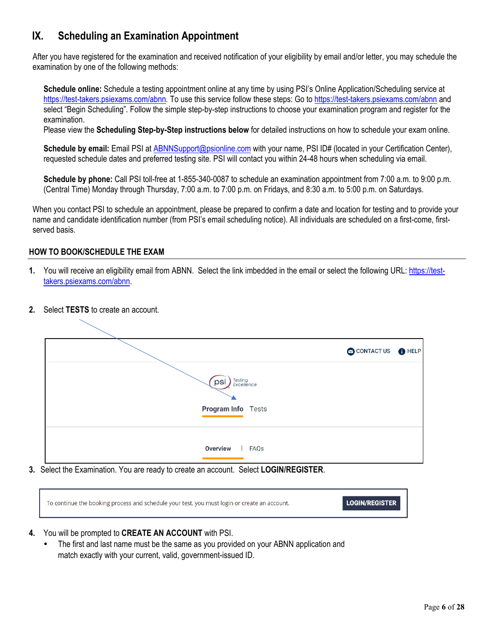## **IX. Scheduling an Examination Appointment**

After you have registered for the examination and received notification of your eligibility by email and/or letter, you may schedule the examination by one of the following methods:

**Schedule online:** Schedule a testing appointment online at any time by using PSI's Online Application/Scheduling service at https://test-takers.psiexams.com/abnn*.* To use this service follow these steps: Go to https://test-takers.psiexams.com/abnn and select "Begin Scheduling". Follow the simple step-by-step instructions to choose your examination program and register for the examination.

Please view the **Scheduling Step-by-Step instructions below** for detailed instructions on how to schedule your exam online.

**Schedule by email:** Email PSI at ABNNSupport@psionline.com with your name, PSI ID# (located in your Certification Center), requested schedule dates and preferred testing site. PSI will contact you within 24-48 hours when scheduling via email.

**Schedule by phone:** Call PSI toll-free at 1-855-340-0087 to schedule an examination appointment from 7:00 a.m. to 9:00 p.m. (Central Time) Monday through Thursday, 7:00 a.m. to 7:00 p.m. on Fridays, and 8:30 a.m. to 5:00 p.m. on Saturdays.

When you contact PSI to schedule an appointment, please be prepared to confirm a date and location for testing and to provide your name and candidate identification number (from PSI's email scheduling notice). All individuals are scheduled on a first-come, firstserved basis.

#### **HOW TO BOOK/SCHEDULE THE EXAM**

- **1.** You will receive an eligibility email from ABNN. Select the link imbedded in the email or select the following URL: https://testtakers.psiexams.com/abnn.
- **2.** Select **TESTS** to create an account.

|                                                           | CONTACT US <b>O</b> HELP |  |
|-----------------------------------------------------------|--------------------------|--|
| Testing<br>Excellence<br>psi<br><b>Program Info</b> Tests |                          |  |
| <b>Overview</b><br>  FAQ <sub>S</sub>                     |                          |  |

**3.** Select the Examination. You are ready to create an account. Select **LOGIN/REGISTER**.

| To continue the booking process and schedule your test, you must login or create an account. | Login/register |
|----------------------------------------------------------------------------------------------|----------------|
|                                                                                              |                |

- **4.** You will be prompted to **CREATE AN ACCOUNT** with PSI.
	- The first and last name must be the same as you provided on your ABNN application and match exactly with your current, valid, government-issued ID.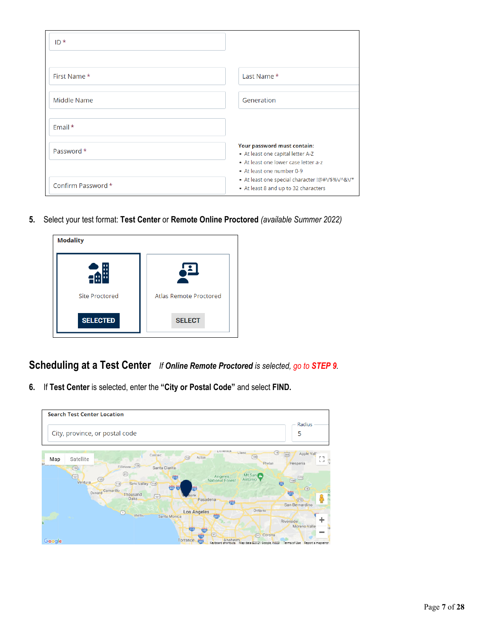| $ID*$              |                                                                                                                                       |
|--------------------|---------------------------------------------------------------------------------------------------------------------------------------|
|                    |                                                                                                                                       |
| First Name *       | Last Name *                                                                                                                           |
| Middle Name        | Generation                                                                                                                            |
| Email $*$          |                                                                                                                                       |
| Password *         | Your password must contain:<br>- At least one capital letter A-Z<br>• At least one lower case letter a-z<br>• At least one number 0-9 |
| Confirm Password * | • At least one special character !@#V\$%V^&V*<br>• At least 8 and up to 32 characters                                                 |

**5.** Select your test format: **Test Center** or **Remote Online Proctored** *(available Summer 2022)*

| <b>Modality</b>       |                               |
|-----------------------|-------------------------------|
|                       |                               |
| <b>Site Proctored</b> | <b>Atlas Remote Proctored</b> |
| <b>SELECTED</b>       | <b>SELECT</b>                 |

**Scheduling at a Test Center** *If Online Remote Proctored is selected, go to STEP 9.*

**6.** If **Test Center** is selected, enter the **"City or Postal Code"** and select **FIND.**

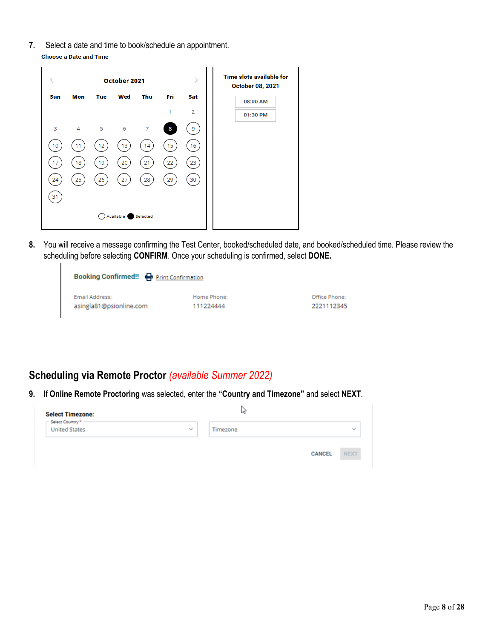**7.** Select a date and time to book/schedule an appointment. **Choose a Date and Time** 

| ८   |     |     | October 2021 |                |     | ⋋              | <b>Time slots available for</b><br><b>October 08, 2021</b> |
|-----|-----|-----|--------------|----------------|-----|----------------|------------------------------------------------------------|
| Sun | Mon | Tue | Wed          | Thu            | Fri | Sat            | 08:00 AM                                                   |
|     |     |     |              |                | 1   | $\overline{2}$ | 01:30 PM                                                   |
| 3   | 4   | 5   | 6            | $\overline{7}$ | 8   | 9              |                                                            |
| 10  | 11  | 12  | 13           | 14             | 15  | 16             |                                                            |
| 17  | 18  | 19  | 20           | 21             | 22  | 23             |                                                            |
| 24  | 25  | 26  | 27           | 28             | 29  | 30             |                                                            |
| 31  |     |     |              |                |     |                |                                                            |
|     |     |     | Available    | Selected       |     |                |                                                            |
|     |     |     |              |                |     |                |                                                            |

**8.** You will receive a message confirming the Test Center, booked/scheduled date, and booked/scheduled time. Please review the scheduling before selecting **CONFIRM**. Once your scheduling is confirmed, select **DONE.**

| <b>Booking Confirmed!! P</b> Print Confirmation |             |               |
|-------------------------------------------------|-------------|---------------|
| Email Address:                                  | Home Phone: | Office Phone: |
| asingla81@psionline.com                         | 111224444   | 2221112345    |

## **Scheduling via Remote Proctor** *(available Summer 2022)*

**9.** If **Online Remote Proctoring** was selected, enter the **"Country and Timezone"** and select **NEXT**.

| <b>Select Timezone:</b><br>Select Country * - |        | W        |               |             |
|-----------------------------------------------|--------|----------|---------------|-------------|
| <b>United States</b>                          | $\sim$ | Timezone |               | $\sim$      |
|                                               |        |          | <b>CANCEL</b> | <b>NEXT</b> |
|                                               |        |          |               |             |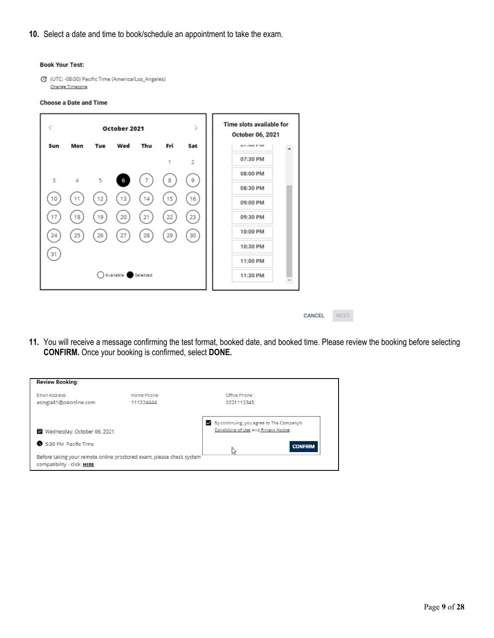**10.** Select a date and time to book/schedule an appointment to take the exam.

#### **Book Your Test:**

```
C (UTC: -08:00) Pacific Time (America/Los_Angeles)
Change Timezone
```
#### **Choose a Date and Time**

|     | October 2021 |     |                    |     |     |                | <b>Time slots available for</b><br>October 06, 2021 |
|-----|--------------|-----|--------------------|-----|-----|----------------|-----------------------------------------------------|
| Sun | Mon          | Tue | Wed                | Thu | Fri | Sat            | <b>UZJUU FIN</b>                                    |
|     |              |     |                    |     |     | $\overline{2}$ | 07:30 PM                                            |
| 3   | 4            | 5   | 6                  |     | 8   | 9              | 08:00 PM                                            |
|     |              |     |                    |     |     |                | 08:30 PM                                            |
| 10  | 11           | 12  | 13                 | 14  | 15  | 16             | 09:00 PM                                            |
| 17  | 18           | 19  | 20                 | 21  | 22  | 23             | 09:30 PM                                            |
| 24  | 25           | 26  | 27                 | 28  | 29  | 30             | 10:00 PM                                            |
|     |              |     |                    |     |     |                | 10:30 PM                                            |
| 31  |              |     |                    |     |     |                | 11:00 PM                                            |
|     |              |     | Available Selected |     |     |                | 11:30 PM                                            |

- **CANCEL** NEXT
- **11.** You will receive a message confirming the test format, booked date, and booked time. Please review the booking before selecting **CONFIRM.** Once your booking is confirmed, select **DONE.**

| <b>Review Booking:</b>                                                                             |             |                                                                                         |
|----------------------------------------------------------------------------------------------------|-------------|-----------------------------------------------------------------------------------------|
| Email Address:                                                                                     | Home Phone: | Office Phone:                                                                           |
| asingla81@psionline.com                                                                            | 111224444   | 2221112345                                                                              |
| Wednesday, October 06, 2021<br>鹽                                                                   |             | By continuing, you agree to The Company's<br>✓<br>Conditions of Use And Privacy Notice. |
| 5:30 PM Pacific Time                                                                               |             | <b>CONFIRM</b>                                                                          |
| Before taking your remote online proctored exam, please check system<br>compatibility - click HERE |             | Μ                                                                                       |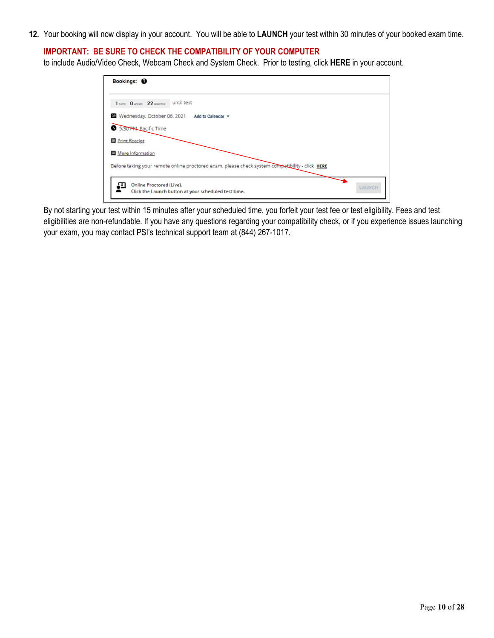**12.** Your booking will now display in your account. You will be able to **LAUNCH** your test within 30 minutes of your booked exam time.

#### **IMPORTANT: BE SURE TO CHECK THE COMPATIBILITY OF YOUR COMPUTER**

to include Audio/Video Check, Webcam Check and System Check. Prior to testing, click **HERE** in your account.

| Bookings: <sup>@</sup>                                                                          |        |
|-------------------------------------------------------------------------------------------------|--------|
| until test<br>1 DAYS 0 HOURS 22 MINUTES                                                         |        |
| Wednesday, October 06, 2021<br>Add to Calendar =                                                |        |
| 5:30 PM Pacific Time                                                                            |        |
| <b>目 Print Receipt</b>                                                                          |        |
| <b>More Information</b>                                                                         |        |
| Before taking your remote online proctored exam, please check system compatibility - click HERE |        |
| <b>Online Proctored (Live).</b><br>Click the Launch button at your scheduled test time.         | LAUNCH |

By not starting your test within 15 minutes after your scheduled time, you forfeit your test fee or test eligibility. Fees and test eligibilities are non-refundable. If you have any questions regarding your compatibility check, or if you experience issues launching your exam, you may contact PSI's technical support team at (844) 267-1017.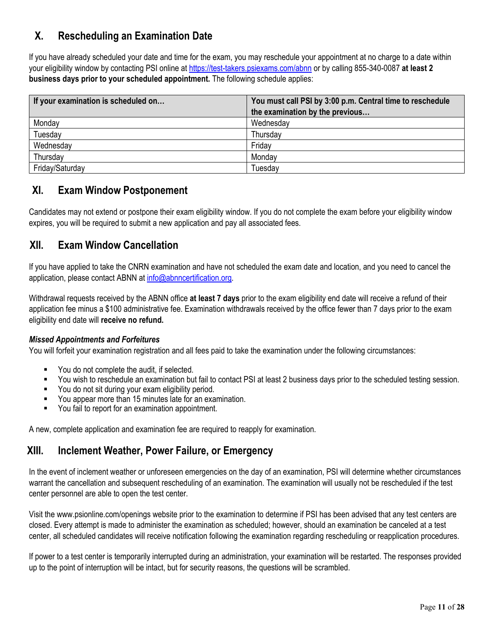## **X. Rescheduling an Examination Date**

If you have already scheduled your date and time for the exam, you may reschedule your appointment at no charge to a date within your eligibility window by contacting PSI online at https://test-takers.psiexams.com/abnn or by calling 855-340-0087 **at least 2 business days prior to your scheduled appointment.** The following schedule applies:

| If your examination is scheduled on | You must call PSI by 3:00 p.m. Central time to reschedule |  |  |
|-------------------------------------|-----------------------------------------------------------|--|--|
|                                     | the examination by the previous                           |  |  |
| Monday                              | Wednesday                                                 |  |  |
| Tuesday                             | Thursday                                                  |  |  |
| Wednesday                           | Friday                                                    |  |  |
| Thursday                            | Monday                                                    |  |  |
| Friday/Saturday                     | Tuesdav                                                   |  |  |

## **XI. Exam Window Postponement**

Candidates may not extend or postpone their exam eligibility window. If you do not complete the exam before your eligibility window expires, you will be required to submit a new application and pay all associated fees.

## **XII. Exam Window Cancellation**

If you have applied to take the CNRN examination and have not scheduled the exam date and location, and you need to cancel the application, please contact ABNN at info@abnncertification.org.

Withdrawal requests received by the ABNN office **at least 7 days** prior to the exam eligibility end date will receive a refund of their application fee minus a \$100 administrative fee. Examination withdrawals received by the office fewer than 7 days prior to the exam eligibility end date will **receive no refund.**

#### *Missed Appointments and Forfeitures*

You will forfeit your examination registration and all fees paid to take the examination under the following circumstances:

- You do not complete the audit, if selected.
- You wish to reschedule an examination but fail to contact PSI at least 2 business days prior to the scheduled testing session.
- You do not sit during your exam eligibility period.
- You appear more than 15 minutes late for an examination.
- You fail to report for an examination appointment.

A new, complete application and examination fee are required to reapply for examination.

## **XIII. Inclement Weather, Power Failure, or Emergency**

In the event of inclement weather or unforeseen emergencies on the day of an examination, PSI will determine whether circumstances warrant the cancellation and subsequent rescheduling of an examination. The examination will usually not be rescheduled if the test center personnel are able to open the test center.

Visit the www.psionline.com/openings website prior to the examination to determine if PSI has been advised that any test centers are closed. Every attempt is made to administer the examination as scheduled; however, should an examination be canceled at a test center, all scheduled candidates will receive notification following the examination regarding rescheduling or reapplication procedures.

If power to a test center is temporarily interrupted during an administration, your examination will be restarted. The responses provided up to the point of interruption will be intact, but for security reasons, the questions will be scrambled.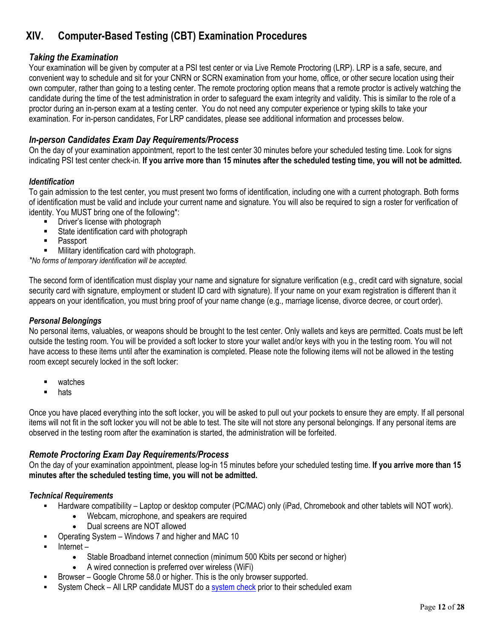## **XIV. Computer-Based Testing (CBT) Examination Procedures**

#### *Taking the Examination*

Your examination will be given by computer at a PSI test center or via Live Remote Proctoring (LRP). LRP is a safe, secure, and convenient way to schedule and sit for your CNRN or SCRN examination from your home, office, or other secure location using their own computer, rather than going to a testing center. The remote proctoring option means that a remote proctor is actively watching the candidate during the time of the test administration in order to safeguard the exam integrity and validity. This is similar to the role of a proctor during an in-person exam at a testing center. You do not need any computer experience or typing skills to take your examination. For in-person candidates, For LRP candidates, please see additional information and processes below.

#### *In-person Candidates Exam Day Requirements/Process*

On the day of your examination appointment, report to the test center 30 minutes before your scheduled testing time. Look for signs indicating PSI test center check-in. **If you arrive more than 15 minutes after the scheduled testing time, you will not be admitted.** 

#### *Identification*

To gain admission to the test center, you must present two forms of identification, including one with a current photograph. Both forms of identification must be valid and include your current name and signature. You will also be required to sign a roster for verification of identity. You MUST bring one of the following\*:

- Driver's license with photograph
- **State identification card with photograph**
- Passport
- Military identification card with photograph.

*\*No forms of temporary identification will be accepted.* 

The second form of identification must display your name and signature for signature verification (e.g., credit card with signature, social security card with signature, employment or student ID card with signature). If your name on your exam registration is different than it appears on your identification, you must bring proof of your name change (e.g., marriage license, divorce decree, or court order).

#### *Personal Belongings*

No personal items, valuables, or weapons should be brought to the test center. Only wallets and keys are permitted. Coats must be left outside the testing room. You will be provided a soft locker to store your wallet and/or keys with you in the testing room. You will not have access to these items until after the examination is completed. Please note the following items will not be allowed in the testing room except securely locked in the soft locker:

- watches
- **n** hats

Once you have placed everything into the soft locker, you will be asked to pull out your pockets to ensure they are empty. If all personal items will not fit in the soft locker you will not be able to test. The site will not store any personal belongings. If any personal items are observed in the testing room after the examination is started, the administration will be forfeited.

#### *Remote Proctoring Exam Day Requirements/Process*

On the day of your examination appointment, please log-in 15 minutes before your scheduled testing time. **If you arrive more than 15 minutes after the scheduled testing time, you will not be admitted.**

#### *Technical Requirements*

- Hardware compatibility Laptop or desktop computer (PC/MAC) only (iPad, Chromebook and other tablets will NOT work).
	- Webcam, microphone, and speakers are required
	- Dual screens are NOT allowed
- Operating System Windows 7 and higher and MAC 10
- Internet
	- Stable Broadband internet connection (minimum 500 Kbits per second or higher)
	- A wired connection is preferred over wireless (WiFi)
- Browser Google Chrome 58.0 or higher. This is the only browser supported.
- System Check All LRP candidate MUST do a system check prior to their scheduled exam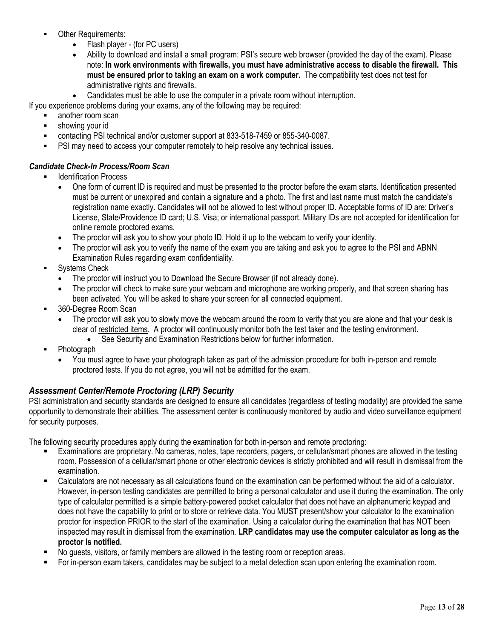- Other Requirements:
	- Flash player (for PC users)
	- Ability to download and install a small program: PSI's secure web browser (provided the day of the exam). Please note: **In work environments with firewalls, you must have administrative access to disable the firewall. This must be ensured prior to taking an exam on a work computer.** The compatibility test does not test for administrative rights and firewalls.
	- Candidates must be able to use the computer in a private room without interruption.

If you experience problems during your exams, any of the following may be required:

- another room scan
- **showing your id**
- contacting PSI technical and/or customer support at 833-518-7459 or 855-340-0087.
- PSI may need to access your computer remotely to help resolve any technical issues.

#### *Candidate Check-In Process/Room Scan*

- Identification Process
	- One form of current ID is required and must be presented to the proctor before the exam starts. Identification presented must be current or unexpired and contain a signature and a photo. The first and last name must match the candidate's registration name exactly. Candidates will not be allowed to test without proper ID. Acceptable forms of ID are: Driver's License, State/Providence ID card; U.S. Visa; or international passport. Military IDs are not accepted for identification for online remote proctored exams.
	- The proctor will ask you to show your photo ID. Hold it up to the webcam to verify your identity.
	- The proctor will ask you to verify the name of the exam you are taking and ask you to agree to the PSI and ABNN Examination Rules regarding exam confidentiality.
- Systems Check
	- The proctor will instruct you to Download the Secure Browser (if not already done).
	- The proctor will check to make sure your webcam and microphone are working properly, and that screen sharing has been activated. You will be asked to share your screen for all connected equipment.
- 360-Degree Room Scan
	- The proctor will ask you to slowly move the webcam around the room to verify that you are alone and that your desk is clear of restricted items. A proctor will continuously monitor both the test taker and the testing environment.
		- See Security and Examination Restrictions below for further information.
- Photograph
	- You must agree to have your photograph taken as part of the admission procedure for both in-person and remote proctored tests. If you do not agree, you will not be admitted for the exam.

#### *Assessment Center/Remote Proctoring (LRP) Security*

PSI administration and security standards are designed to ensure all candidates (regardless of testing modality) are provided the same opportunity to demonstrate their abilities. The assessment center is continuously monitored by audio and video surveillance equipment for security purposes.

The following security procedures apply during the examination for both in-person and remote proctoring:

- Examinations are proprietary. No cameras, notes, tape recorders, pagers, or cellular/smart phones are allowed in the testing room. Possession of a cellular/smart phone or other electronic devices is strictly prohibited and will result in dismissal from the examination.
- Calculators are not necessary as all calculations found on the examination can be performed without the aid of a calculator. However, in-person testing candidates are permitted to bring a personal calculator and use it during the examination. The only type of calculator permitted is a simple battery-powered pocket calculator that does not have an alphanumeric keypad and does not have the capability to print or to store or retrieve data. You MUST present/show your calculator to the examination proctor for inspection PRIOR to the start of the examination. Using a calculator during the examination that has NOT been inspected may result in dismissal from the examination. **LRP candidates may use the computer calculator as long as the proctor is notified.**
- No guests, visitors, or family members are allowed in the testing room or reception areas.
- For in-person exam takers, candidates may be subject to a metal detection scan upon entering the examination room.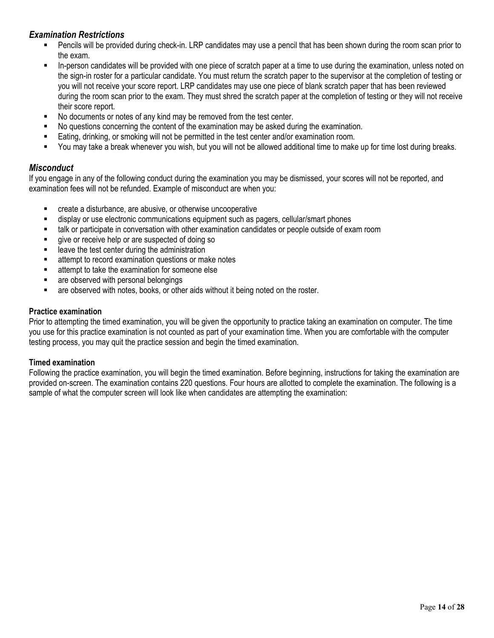#### *Examination Restrictions*

- Pencils will be provided during check-in. LRP candidates may use a pencil that has been shown during the room scan prior to the exam.
- In-person candidates will be provided with one piece of scratch paper at a time to use during the examination, unless noted on the sign-in roster for a particular candidate. You must return the scratch paper to the supervisor at the completion of testing or you will not receive your score report. LRP candidates may use one piece of blank scratch paper that has been reviewed during the room scan prior to the exam. They must shred the scratch paper at the completion of testing or they will not receive their score report.
- No documents or notes of any kind may be removed from the test center.
- No questions concerning the content of the examination may be asked during the examination.
- Eating, drinking, or smoking will not be permitted in the test center and/or examination room.
- You may take a break whenever you wish, but you will not be allowed additional time to make up for time lost during breaks.

#### *Misconduct*

If you engage in any of the following conduct during the examination you may be dismissed, your scores will not be reported, and examination fees will not be refunded. Example of misconduct are when you:

- create a disturbance, are abusive, or otherwise uncooperative
- display or use electronic communications equipment such as pagers, cellular/smart phones
- talk or participate in conversation with other examination candidates or people outside of exam room
- give or receive help or are suspected of doing so
- leave the test center during the administration
- attempt to record examination questions or make notes
- **EXEC** attempt to take the examination for someone else
- **EXECUTE:** are observed with personal belongings
- are observed with notes, books, or other aids without it being noted on the roster.

#### **Practice examination**

Prior to attempting the timed examination, you will be given the opportunity to practice taking an examination on computer. The time you use for this practice examination is not counted as part of your examination time. When you are comfortable with the computer testing process, you may quit the practice session and begin the timed examination.

#### **Timed examination**

Following the practice examination, you will begin the timed examination. Before beginning, instructions for taking the examination are provided on-screen. The examination contains 220 questions. Four hours are allotted to complete the examination. The following is a sample of what the computer screen will look like when candidates are attempting the examination: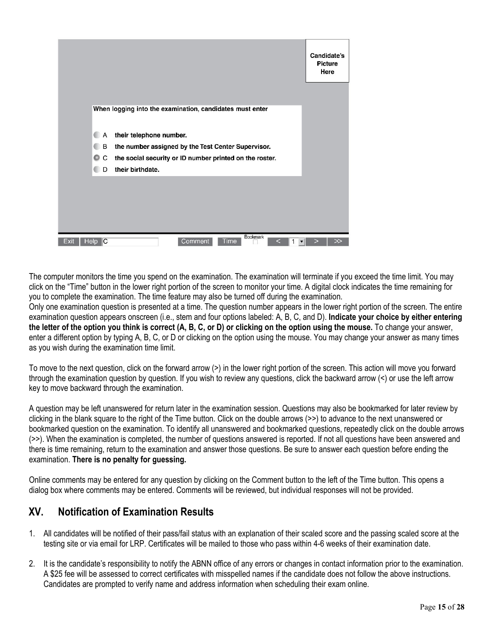|              |        |                                                          | Candidate's<br><b>Picture</b><br>Here |
|--------------|--------|----------------------------------------------------------|---------------------------------------|
|              |        | When logging into the examination, candidates must enter |                                       |
|              | А      | their telephone number.                                  |                                       |
|              | B      | the number assigned by the Test Center Supervisor.       |                                       |
|              | C<br>0 | the social security or ID number printed on the roster.  |                                       |
|              | D      | their birthdate.                                         |                                       |
|              |        |                                                          |                                       |
|              |        |                                                          |                                       |
|              |        |                                                          |                                       |
|              |        |                                                          |                                       |
| Exit<br>Help | C      | Bookmark<br>Comment<br>Time                              |                                       |

The computer monitors the time you spend on the examination. The examination will terminate if you exceed the time limit. You may click on the "Time" button in the lower right portion of the screen to monitor your time. A digital clock indicates the time remaining for you to complete the examination. The time feature may also be turned off during the examination.

Only one examination question is presented at a time. The question number appears in the lower right portion of the screen. The entire examination question appears onscreen (i.e., stem and four options labeled: A, B, C, and D). **Indicate your choice by either entering the letter of the option you think is correct (A, B, C, or D) or clicking on the option using the mouse.** To change your answer, enter a different option by typing A, B, C, or D or clicking on the option using the mouse. You may change your answer as many times as you wish during the examination time limit.

To move to the next question, click on the forward arrow (>) in the lower right portion of the screen. This action will move you forward through the examination question by question. If you wish to review any questions, click the backward arrow (<) or use the left arrow key to move backward through the examination.

A question may be left unanswered for return later in the examination session. Questions may also be bookmarked for later review by clicking in the blank square to the right of the Time button. Click on the double arrows (>>) to advance to the next unanswered or bookmarked question on the examination. To identify all unanswered and bookmarked questions, repeatedly click on the double arrows (>>). When the examination is completed, the number of questions answered is reported. If not all questions have been answered and there is time remaining, return to the examination and answer those questions. Be sure to answer each question before ending the examination. **There is no penalty for guessing.** 

Online comments may be entered for any question by clicking on the Comment button to the left of the Time button. This opens a dialog box where comments may be entered. Comments will be reviewed, but individual responses will not be provided.

## **XV. Notification of Examination Results**

- 1. All candidates will be notified of their pass/fail status with an explanation of their scaled score and the passing scaled score at the testing site or via email for LRP. Certificates will be mailed to those who pass within 4-6 weeks of their examination date.
- 2. It is the candidate's responsibility to notify the ABNN office of any errors or changes in contact information prior to the examination. A \$25 fee will be assessed to correct certificates with misspelled names if the candidate does not follow the above instructions. Candidates are prompted to verify name and address information when scheduling their exam online.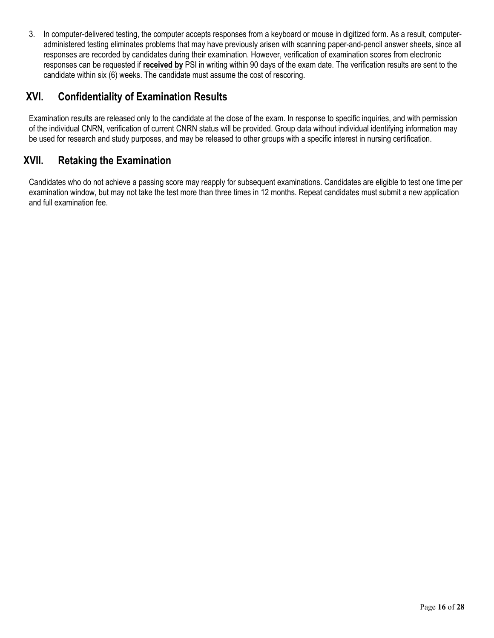3. In computer-delivered testing, the computer accepts responses from a keyboard or mouse in digitized form. As a result, computeradministered testing eliminates problems that may have previously arisen with scanning paper-and-pencil answer sheets, since all responses are recorded by candidates during their examination. However, verification of examination scores from electronic responses can be requested if **received by** PSI in writing within 90 days of the exam date. The verification results are sent to the candidate within six (6) weeks. The candidate must assume the cost of rescoring.

## **XVI. Confidentiality of Examination Results**

Examination results are released only to the candidate at the close of the exam. In response to specific inquiries, and with permission of the individual CNRN, verification of current CNRN status will be provided. Group data without individual identifying information may be used for research and study purposes, and may be released to other groups with a specific interest in nursing certification.

## **XVII. Retaking the Examination**

Candidates who do not achieve a passing score may reapply for subsequent examinations. Candidates are eligible to test one time per examination window, but may not take the test more than three times in 12 months. Repeat candidates must submit a new application and full examination fee.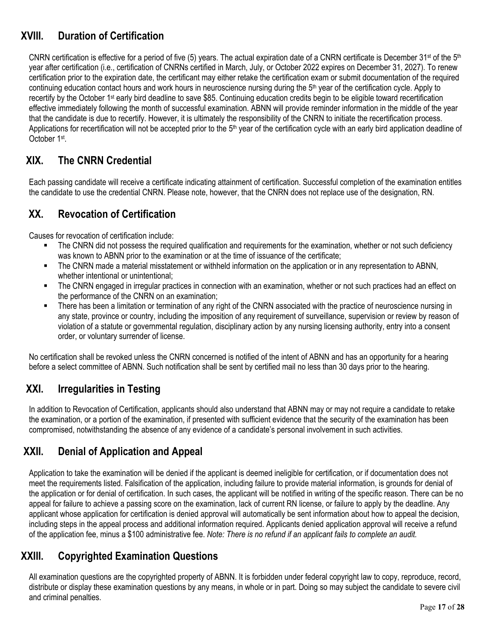## **XVIII. Duration of Certification**

CNRN certification is effective for a period of five (5) years. The actual expiration date of a CNRN certificate is December 31<sup>st</sup> of the 5<sup>th</sup> year after certification (i.e., certification of CNRNs certified in March, July, or October 2022 expires on December 31, 2027). To renew certification prior to the expiration date, the certificant may either retake the certification exam or submit documentation of the required continuing education contact hours and work hours in neuroscience nursing during the 5<sup>th</sup> year of the certification cycle. Apply to recertify by the October 1st early bird deadline to save \$85. Continuing education credits begin to be eligible toward recertification effective immediately following the month of successful examination. ABNN will provide reminder information in the middle of the year that the candidate is due to recertify. However, it is ultimately the responsibility of the CNRN to initiate the recertification process. Applications for recertification will not be accepted prior to the 5<sup>th</sup> year of the certification cycle with an early bird application deadline of October 1st.

## **XIX. The CNRN Credential**

Each passing candidate will receive a certificate indicating attainment of certification. Successful completion of the examination entitles the candidate to use the credential CNRN. Please note, however, that the CNRN does not replace use of the designation, RN.

## **XX. Revocation of Certification**

Causes for revocation of certification include:

- The CNRN did not possess the required qualification and requirements for the examination, whether or not such deficiency was known to ABNN prior to the examination or at the time of issuance of the certificate;
- The CNRN made a material misstatement or withheld information on the application or in any representation to ABNN, whether intentional or unintentional;
- The CNRN engaged in irregular practices in connection with an examination, whether or not such practices had an effect on the performance of the CNRN on an examination;
- There has been a limitation or termination of any right of the CNRN associated with the practice of neuroscience nursing in any state, province or country, including the imposition of any requirement of surveillance, supervision or review by reason of violation of a statute or governmental regulation, disciplinary action by any nursing licensing authority, entry into a consent order, or voluntary surrender of license.

No certification shall be revoked unless the CNRN concerned is notified of the intent of ABNN and has an opportunity for a hearing before a select committee of ABNN. Such notification shall be sent by certified mail no less than 30 days prior to the hearing.

## **XXI. Irregularities in Testing**

In addition to Revocation of Certification, applicants should also understand that ABNN may or may not require a candidate to retake the examination, or a portion of the examination, if presented with sufficient evidence that the security of the examination has been compromised, notwithstanding the absence of any evidence of a candidate's personal involvement in such activities.

## **XXII. Denial of Application and Appeal**

Application to take the examination will be denied if the applicant is deemed ineligible for certification, or if documentation does not meet the requirements listed. Falsification of the application, including failure to provide material information, is grounds for denial of the application or for denial of certification. In such cases, the applicant will be notified in writing of the specific reason. There can be no appeal for failure to achieve a passing score on the examination, lack of current RN license, or failure to apply by the deadline. Any applicant whose application for certification is denied approval will automatically be sent information about how to appeal the decision, including steps in the appeal process and additional information required. Applicants denied application approval will receive a refund of the application fee, minus a \$100 administrative fee. *Note: There is no refund if an applicant fails to complete an audit.* 

## **XXIII. Copyrighted Examination Questions**

All examination questions are the copyrighted property of ABNN. It is forbidden under federal copyright law to copy, reproduce, record, distribute or display these examination questions by any means, in whole or in part. Doing so may subject the candidate to severe civil and criminal penalties.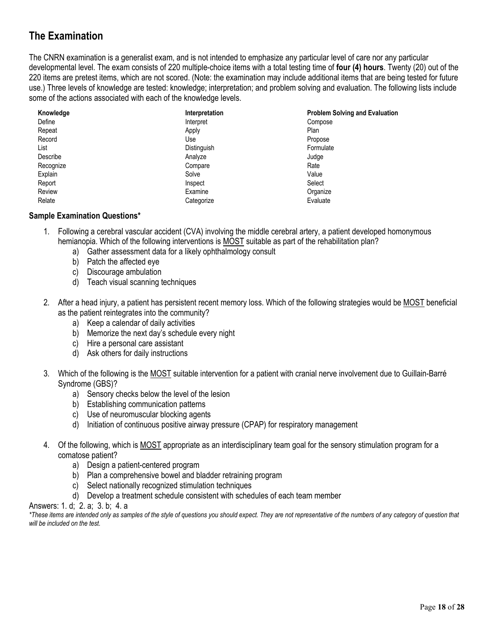## **The Examination**

The CNRN examination is a generalist exam, and is not intended to emphasize any particular level of care nor any particular developmental level. The exam consists of 220 multiple-choice items with a total testing time of **four (4) hours**. Twenty (20) out of the 220 items are pretest items, which are not scored. (Note: the examination may include additional items that are being tested for future use.) Three levels of knowledge are tested: knowledge; interpretation; and problem solving and evaluation. The following lists include some of the actions associated with each of the knowledge levels.

| Knowledge | Interpretation | <b>Problem Solving and Evaluation</b> |
|-----------|----------------|---------------------------------------|
| Define    | Interpret      | Compose                               |
| Repeat    | Apply          | Plan                                  |
| Record    | Use            | Propose                               |
| List      | Distinguish    | Formulate                             |
| Describe  | Analyze        | Judge                                 |
| Recognize | Compare        | Rate                                  |
| Explain   | Solve          | Value                                 |
| Report    | Inspect        | Select                                |
| Review    | Examine        | Organize                              |
| Relate    | Categorize     | Evaluate                              |

#### **Sample Examination Questions\***

- 1. Following a cerebral vascular accident (CVA) involving the middle cerebral artery, a patient developed homonymous hemianopia. Which of the following interventions is MOST suitable as part of the rehabilitation plan?
	- a) Gather assessment data for a likely ophthalmology consult
	- b) Patch the affected eye
	- c) Discourage ambulation
	- d) Teach visual scanning techniques
- 2. After a head injury, a patient has persistent recent memory loss. Which of the following strategies would be MOST beneficial as the patient reintegrates into the community?
	- a) Keep a calendar of daily activities
	- b) Memorize the next day's schedule every night
	- c) Hire a personal care assistant
	- d) Ask others for daily instructions
- 3. Which of the following is the MOST suitable intervention for a patient with cranial nerve involvement due to Guillain-Barré Syndrome (GBS)?
	- a) Sensory checks below the level of the lesion
	- b) Establishing communication patterns
	- c) Use of neuromuscular blocking agents
	- d) Initiation of continuous positive airway pressure (CPAP) for respiratory management
- 4. Of the following, which is MOST appropriate as an interdisciplinary team goal for the sensory stimulation program for a comatose patient?
	- a) Design a patient-centered program
	- b) Plan a comprehensive bowel and bladder retraining program
	- c) Select nationally recognized stimulation techniques
	- d) Develop a treatment schedule consistent with schedules of each team member

#### Answers: 1. d; 2. a; 3. b; 4. a

*\*These items are intended only as samples of the style of questions you should expect. They are not representative of the numbers of any category of question that will be included on the test.*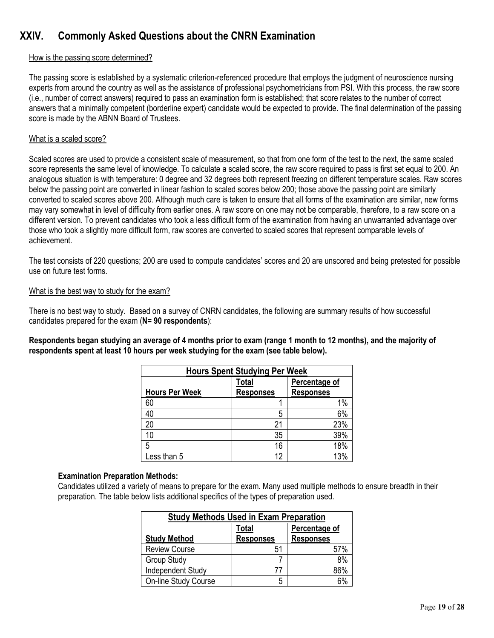## **XXIV. Commonly Asked Questions about the CNRN Examination**

#### How is the passing score determined?

The passing score is established by a systematic criterion-referenced procedure that employs the judgment of neuroscience nursing experts from around the country as well as the assistance of professional psychometricians from PSI. With this process, the raw score (i.e., number of correct answers) required to pass an examination form is established; that score relates to the number of correct answers that a minimally competent (borderline expert) candidate would be expected to provide. The final determination of the passing score is made by the ABNN Board of Trustees.

#### What is a scaled score?

Scaled scores are used to provide a consistent scale of measurement, so that from one form of the test to the next, the same scaled score represents the same level of knowledge. To calculate a scaled score, the raw score required to pass is first set equal to 200. An analogous situation is with temperature: 0 degree and 32 degrees both represent freezing on different temperature scales. Raw scores below the passing point are converted in linear fashion to scaled scores below 200; those above the passing point are similarly converted to scaled scores above 200. Although much care is taken to ensure that all forms of the examination are similar, new forms may vary somewhat in level of difficulty from earlier ones. A raw score on one may not be comparable, therefore, to a raw score on a different version. To prevent candidates who took a less difficult form of the examination from having an unwarranted advantage over those who took a slightly more difficult form, raw scores are converted to scaled scores that represent comparable levels of achievement.

The test consists of 220 questions; 200 are used to compute candidates' scores and 20 are unscored and being pretested for possible use on future test forms.

#### What is the best way to study for the exam?

There is no best way to study. Based on a survey of CNRN candidates, the following are summary results of how successful candidates prepared for the exam (**N= 90 respondents**):

**Respondents began studying an average of 4 months prior to exam (range 1 month to 12 months), and the majority of respondents spent at least 10 hours per week studying for the exam (see table below).** 

| <b>Hours Spent Studying Per Week</b> |                           |                                   |  |
|--------------------------------------|---------------------------|-----------------------------------|--|
| <b>Hours Per Week</b>                | Total<br><b>Responses</b> | Percentage of<br><b>Responses</b> |  |
| 60                                   |                           | 1%                                |  |
| 40                                   | 5                         | 6%                                |  |
| 20                                   | 21                        | 23%                               |  |
| 10                                   | 35                        | 39%                               |  |
| 5                                    | 16                        | 18%                               |  |
| Less than 5                          | 12                        | 13%                               |  |

#### **Examination Preparation Methods:**

Candidates utilized a variety of means to prepare for the exam. Many used multiple methods to ensure breadth in their preparation. The table below lists additional specifics of the types of preparation used.

| <b>Study Methods Used in Exam Preparation</b> |                  |                  |  |
|-----------------------------------------------|------------------|------------------|--|
|                                               | Total            | Percentage of    |  |
| <b>Study Method</b>                           | <b>Responses</b> | <b>Responses</b> |  |
| <b>Review Course</b>                          | 51               | 57%              |  |
| <b>Group Study</b>                            |                  | 8%               |  |
| Independent Study                             | 77               | 86%              |  |
| <b>On-line Study Course</b>                   | 5                |                  |  |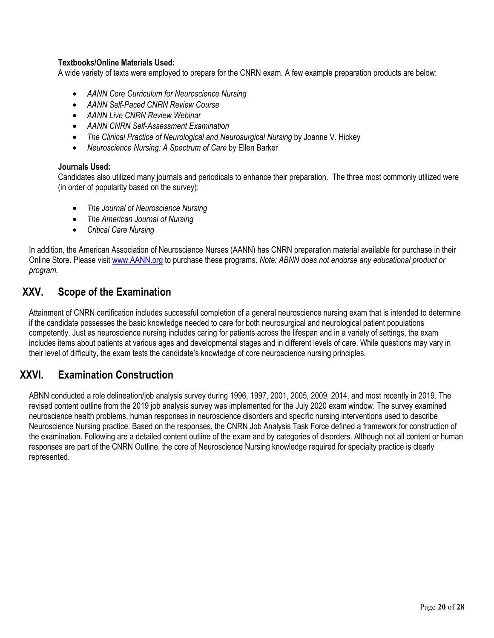#### **Textbooks/Online Materials Used:**

A wide variety of texts were employed to prepare for the CNRN exam. A few example preparation products are below:

- *AANN Core Curriculum for Neuroscience Nursing*
- *AANN Self-Paced CNRN Review Course*
- *AANN Live CNRN Review Webinar*
- *AANN CNRN Self-Assessment Examination*
- *The Clinical Practice of Neurological and Neurosurgical Nursing* by Joanne V. Hickey
- *Neuroscience Nursing: A Spectrum of Care* by Ellen Barker

#### **Journals Used:**

Candidates also utilized many journals and periodicals to enhance their preparation. The three most commonly utilized were (in order of popularity based on the survey):

- *The Journal of Neuroscience Nursing*
- *The American Journal of Nursing*
- *Critical Care Nursing*

In addition, the American Association of Neuroscience Nurses (AANN) has CNRN preparation material available for purchase in their Online Store. Please visit www.AANN.org to purchase these programs. *Note: ABNN does not endorse any educational product or program.* 

## **XXV. Scope of the Examination**

Attainment of CNRN certification includes successful completion of a general neuroscience nursing exam that is intended to determine if the candidate possesses the basic knowledge needed to care for both neurosurgical and neurological patient populations competently. Just as neuroscience nursing includes caring for patients across the lifespan and in a variety of settings, the exam includes items about patients at various ages and developmental stages and in different levels of care. While questions may vary in their level of difficulty, the exam tests the candidate's knowledge of core neuroscience nursing principles.

### **XXVI. Examination Construction**

ABNN conducted a role delineation/job analysis survey during 1996, 1997, 2001, 2005, 2009, 2014, and most recently in 2019. The revised content outline from the 2019 job analysis survey was implemented for the July 2020 exam window. The survey examined neuroscience health problems, human responses in neuroscience disorders and specific nursing interventions used to describe Neuroscience Nursing practice. Based on the responses, the CNRN Job Analysis Task Force defined a framework for construction of the examination. Following are a detailed content outline of the exam and by categories of disorders. Although not all content or human responses are part of the CNRN Outline, the core of Neuroscience Nursing knowledge required for specialty practice is clearly represented.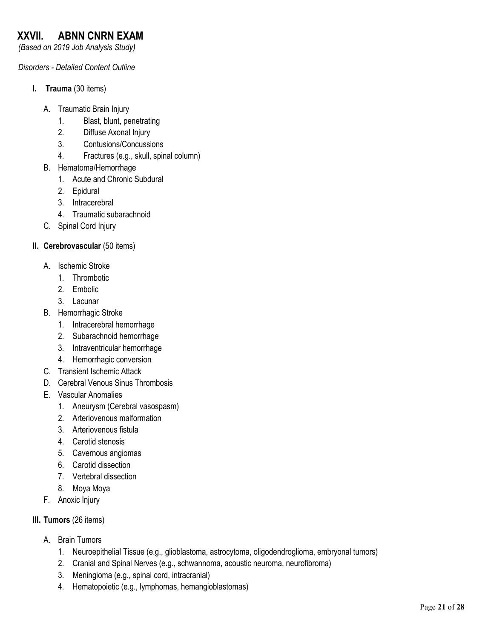## **XXVII. ABNN CNRN EXAM**

*(Based on 2019 Job Analysis Study)* 

#### *Disorders - Detailed Content Outline*

- **I. Trauma** (30 items)
	- A. Traumatic Brain Injury
		- 1. Blast, blunt, penetrating
		- 2. Diffuse Axonal Injury
		- 3. Contusions/Concussions
		- 4. Fractures (e.g., skull, spinal column)
	- B. Hematoma/Hemorrhage
		- 1. Acute and Chronic Subdural
		- 2. Epidural
		- 3. Intracerebral
		- 4. Traumatic subarachnoid
	- C. Spinal Cord Injury

#### **II.** Cerebrovascular (50 items)

- A. Ischemic Stroke
	- 1. Thrombotic
	- 2. Embolic
	- 3. Lacunar
- B. Hemorrhagic Stroke
	- 1. Intracerebral hemorrhage
	- 2. Subarachnoid hemorrhage
	- 3. Intraventricular hemorrhage
	- 4. Hemorrhagic conversion
- C. Transient Ischemic Attack
- D. Cerebral Venous Sinus Thrombosis
- E. Vascular Anomalies
	- 1. Aneurysm (Cerebral vasospasm)
	- 2. Arteriovenous malformation
	- 3. Arteriovenous fistula
	- 4. Carotid stenosis
	- 5. Cavernous angiomas
	- 6. Carotid dissection
	- 7. Vertebral dissection
	- 8. Moya Moya
- F. Anoxic Injury
- **III. Tumors** (26 items)
	- A. Brain Tumors
		- 1. Neuroepithelial Tissue (e.g., glioblastoma, astrocytoma, oligodendroglioma, embryonal tumors)
		- 2. Cranial and Spinal Nerves (e.g., schwannoma, acoustic neuroma, neurofibroma)
		- 3. Meningioma (e.g., spinal cord, intracranial)
		- 4. Hematopoietic (e.g., lymphomas, hemangioblastomas)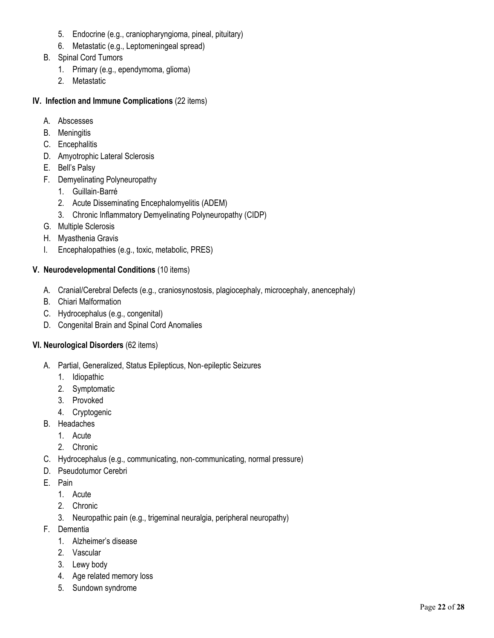- 5. Endocrine (e.g., craniopharyngioma, pineal, pituitary)
- 6. Metastatic (e.g., Leptomeningeal spread)
- B. Spinal Cord Tumors
	- 1. Primary (e.g., ependymoma, glioma)
	- 2. Metastatic

#### **IV. Infection and Immune Complications** (22 items)

- A. Abscesses
- B. Meningitis
- C. Encephalitis
- D. Amyotrophic Lateral Sclerosis
- E. Bell's Palsy
- F. Demyelinating Polyneuropathy
	- 1. Guillain‐Barré
	- 2. Acute Disseminating Encephalomyelitis (ADEM)
	- 3. Chronic Inflammatory Demyelinating Polyneuropathy (CIDP)
- G. Multiple Sclerosis
- H. Myasthenia Gravis
- I. Encephalopathies (e.g., toxic, metabolic, PRES)

#### **V. Neurodevelopmental Conditions** (10 items)

- A. Cranial/Cerebral Defects (e.g., craniosynostosis, plagiocephaly, microcephaly, anencephaly)
- B. Chiari Malformation
- C. Hydrocephalus (e.g., congenital)
- D. Congenital Brain and Spinal Cord Anomalies

#### **VI. Neurological Disorders** (62 items)

- A. Partial, Generalized, Status Epilepticus, Non‐epileptic Seizures
	- 1. Idiopathic
	- 2. Symptomatic
	- 3. Provoked
	- 4. Cryptogenic
- B. Headaches
	- 1. Acute
	- 2. Chronic
- C. Hydrocephalus (e.g., communicating, non‐communicating, normal pressure)
- D. Pseudotumor Cerebri
- E. Pain
	- 1. Acute
	- 2. Chronic
	- 3. Neuropathic pain (e.g., trigeminal neuralgia, peripheral neuropathy)
- F. Dementia
	- 1. Alzheimer's disease
	- 2. Vascular
	- 3. Lewy body
	- 4. Age related memory loss
	- 5. Sundown syndrome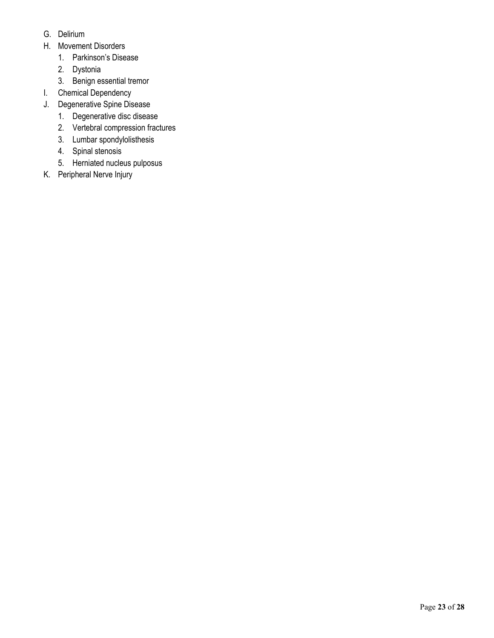- G. Delirium
- H. Movement Disorders
	- 1. Parkinson's Disease
	- 2. Dystonia
	- 3. Benign essential tremor
- I. Chemical Dependency
- J. Degenerative Spine Disease
	- 1. Degenerative disc disease
	- 2. Vertebral compression fractures
	- 3. Lumbar spondylolisthesis
	- 4. Spinal stenosis
	- 5. Herniated nucleus pulposus
- K. Peripheral Nerve Injury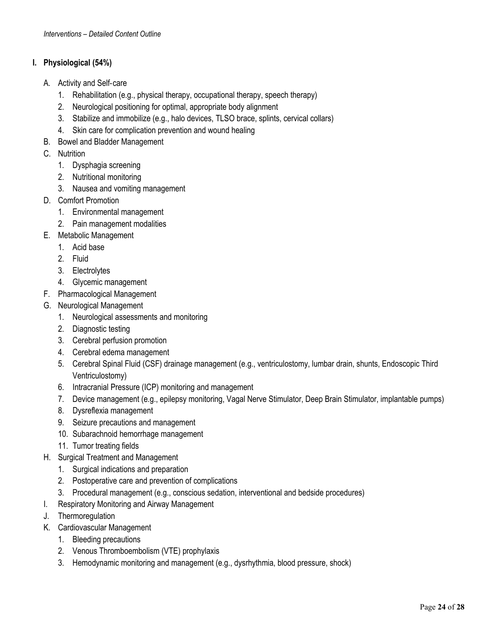#### **I. Physiological (54%)**

- A. Activity and Self‐care
	- 1. Rehabilitation (e.g., physical therapy, occupational therapy, speech therapy)
	- 2. Neurological positioning for optimal, appropriate body alignment
	- 3. Stabilize and immobilize (e.g., halo devices, TLSO brace, splints, cervical collars)
	- 4. Skin care for complication prevention and wound healing
- B. Bowel and Bladder Management
- C. Nutrition
	- 1. Dysphagia screening
	- 2. Nutritional monitoring
	- 3. Nausea and vomiting management
- D. Comfort Promotion
	- 1. Environmental management
	- 2. Pain management modalities
- E. Metabolic Management
	- 1. Acid base
	- 2. Fluid
	- 3. Electrolytes
	- 4. Glycemic management
- F. Pharmacological Management
- G. Neurological Management
	- 1. Neurological assessments and monitoring
	- 2. Diagnostic testing
	- 3. Cerebral perfusion promotion
	- 4. Cerebral edema management
	- 5. Cerebral Spinal Fluid (CSF) drainage management (e.g., ventriculostomy, lumbar drain, shunts, Endoscopic Third Ventriculostomy)
	- 6. Intracranial Pressure (ICP) monitoring and management
	- 7. Device management (e.g., epilepsy monitoring, Vagal Nerve Stimulator, Deep Brain Stimulator, implantable pumps)
	- 8. Dysreflexia management
	- 9. Seizure precautions and management
	- 10. Subarachnoid hemorrhage management
	- 11. Tumor treating fields
- H. Surgical Treatment and Management
	- 1. Surgical indications and preparation
	- 2. Postoperative care and prevention of complications
	- 3. Procedural management (e.g., conscious sedation, interventional and bedside procedures)
- I. Respiratory Monitoring and Airway Management
- J. Thermoregulation
- K. Cardiovascular Management
	- 1. Bleeding precautions
	- 2. Venous Thromboembolism (VTE) prophylaxis
	- 3. Hemodynamic monitoring and management (e.g., dysrhythmia, blood pressure, shock)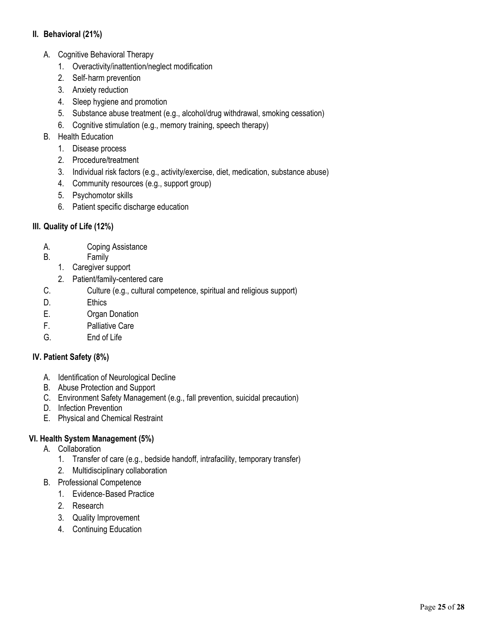#### **II. Behavioral (21%)**

- A. Cognitive Behavioral Therapy
	- 1. Overactivity/inattention/neglect modification
	- 2. Self‐harm prevention
	- 3. Anxiety reduction
	- 4. Sleep hygiene and promotion
	- 5. Substance abuse treatment (e.g., alcohol/drug withdrawal, smoking cessation)
	- 6. Cognitive stimulation (e.g., memory training, speech therapy)
- B. Health Education
	- 1. Disease process
	- 2. Procedure/treatment
	- 3. Individual risk factors (e.g., activity/exercise, diet, medication, substance abuse)
	- 4. Community resources (e.g., support group)
	- 5. Psychomotor skills
	- 6. Patient specific discharge education

#### **III. Quality of Life (12%)**

- A. Coping Assistance
- B. Family
	- 1. Caregiver support
	- 2. Patient/family-centered care
- C. Culture (e.g., cultural competence, spiritual and religious support)
- D. Ethics
- E. Organ Donation
- F. Palliative Care
- G. End of Life

### **IV. Patient Safety (8%)**

- A. Identification of Neurological Decline
- B. Abuse Protection and Support
- C. Environment Safety Management (e.g., fall prevention, suicidal precaution)
- D. Infection Prevention
- E. Physical and Chemical Restraint

#### **VI. Health System Management (5%)**

- A. Collaboration
	- 1. Transfer of care (e.g., bedside handoff, intrafacility, temporary transfer)
	- 2. Multidisciplinary collaboration
- B. Professional Competence
	- 1. Evidence‐Based Practice
	- 2. Research
	- 3. Quality Improvement
	- 4. Continuing Education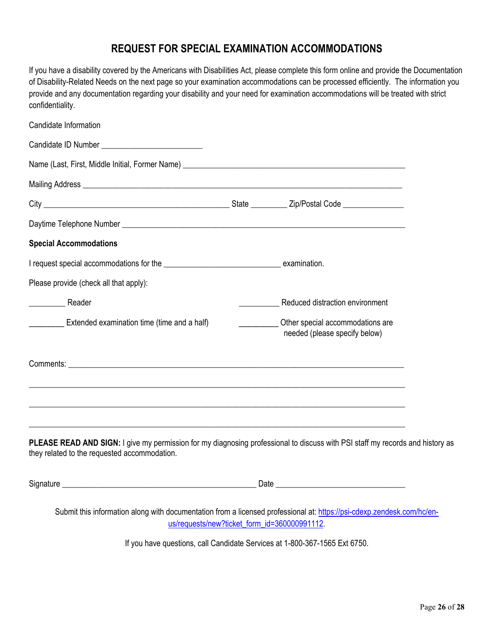## **REQUEST FOR SPECIAL EXAMINATION ACCOMMODATIONS**

If you have a disability covered by the Americans with Disabilities Act, please complete this form online and provide the Documentation of Disability-Related Needs on the next page so your examination accommodations can be processed efficiently. The information you provide and any documentation regarding your disability and your need for examination accommodations will be treated with strict confidentiality.

| Candidate Information                                                                                                                                                                                                                                              |      |                                                                   |  |
|--------------------------------------------------------------------------------------------------------------------------------------------------------------------------------------------------------------------------------------------------------------------|------|-------------------------------------------------------------------|--|
|                                                                                                                                                                                                                                                                    |      |                                                                   |  |
|                                                                                                                                                                                                                                                                    |      |                                                                   |  |
|                                                                                                                                                                                                                                                                    |      |                                                                   |  |
|                                                                                                                                                                                                                                                                    |      |                                                                   |  |
|                                                                                                                                                                                                                                                                    |      |                                                                   |  |
| <b>Special Accommodations</b>                                                                                                                                                                                                                                      |      |                                                                   |  |
|                                                                                                                                                                                                                                                                    |      |                                                                   |  |
| Please provide (check all that apply):                                                                                                                                                                                                                             |      |                                                                   |  |
| Reader                                                                                                                                                                                                                                                             |      | Reduced distraction environment                                   |  |
| Extended examination time (time and a half)<br>$\overline{\phantom{a}}$                                                                                                                                                                                            |      | Other special accommodations are<br>needed (please specify below) |  |
|                                                                                                                                                                                                                                                                    |      |                                                                   |  |
|                                                                                                                                                                                                                                                                    |      |                                                                   |  |
| ,我们也不能在这里的时候,我们也不能在这里的时候,我们也不能在这里的时候,我们也不能会在这里的时候,我们也不能会在这里的时候,我们也不能会在这里的时候,我们也不能<br>PLEASE READ AND SIGN: I give my permission for my diagnosing professional to discuss with PSI staff my records and history as<br>they related to the requested accommodation. |      |                                                                   |  |
| Signature                                                                                                                                                                                                                                                          | Date |                                                                   |  |

Submit this information along with documentation from a licensed professional at: https://psi-cdexp.zendesk.com/hc/enus/requests/new?ticket\_form\_id=360000991112.

If you have questions, call Candidate Services at 1-800-367-1565 Ext 6750.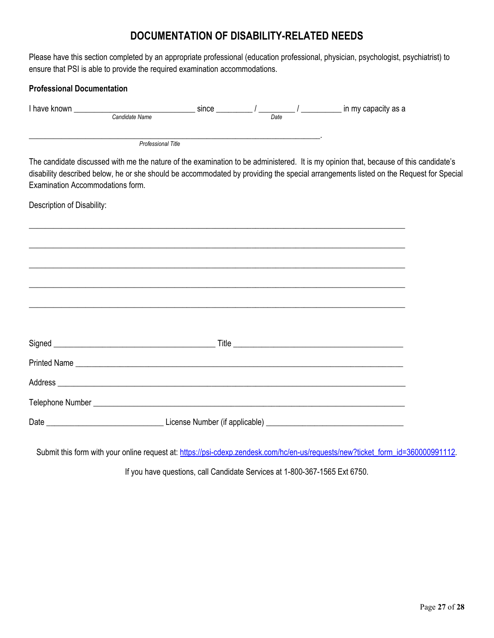## **DOCUMENTATION OF DISABILITY-RELATED NEEDS**

Please have this section completed by an appropriate professional (education professional, physician, psychologist, psychiatrist) to ensure that PSI is able to provide the required examination accommodations.

| <b>Professional Documentation</b>                                                                                          |                                                                                   |  |                                                                                                                                                                                                                                                                              |  |
|----------------------------------------------------------------------------------------------------------------------------|-----------------------------------------------------------------------------------|--|------------------------------------------------------------------------------------------------------------------------------------------------------------------------------------------------------------------------------------------------------------------------------|--|
| I have known $\frac{1}{\text{Candidate Name}}$ since $\frac{1}{\text{Date}}$ / $\frac{1}{\text{Date}}$ in my capacity as a |                                                                                   |  |                                                                                                                                                                                                                                                                              |  |
|                                                                                                                            | Professional Title                                                                |  |                                                                                                                                                                                                                                                                              |  |
| Examination Accommodations form.                                                                                           |                                                                                   |  | The candidate discussed with me the nature of the examination to be administered. It is my opinion that, because of this candidate's<br>disability described below, he or she should be accommodated by providing the special arrangements listed on the Request for Special |  |
| Description of Disability:                                                                                                 |                                                                                   |  |                                                                                                                                                                                                                                                                              |  |
|                                                                                                                            |                                                                                   |  |                                                                                                                                                                                                                                                                              |  |
|                                                                                                                            |                                                                                   |  |                                                                                                                                                                                                                                                                              |  |
|                                                                                                                            | ,我们也不能在这里的时候,我们也不能在这里的时候,我们也不能在这里的时候,我们也不能会在这里的时候,我们也不能会在这里的时候,我们也不能会在这里的时候,我们也不能 |  |                                                                                                                                                                                                                                                                              |  |
|                                                                                                                            |                                                                                   |  |                                                                                                                                                                                                                                                                              |  |
|                                                                                                                            |                                                                                   |  |                                                                                                                                                                                                                                                                              |  |
|                                                                                                                            |                                                                                   |  |                                                                                                                                                                                                                                                                              |  |
|                                                                                                                            |                                                                                   |  |                                                                                                                                                                                                                                                                              |  |
|                                                                                                                            |                                                                                   |  |                                                                                                                                                                                                                                                                              |  |
|                                                                                                                            |                                                                                   |  |                                                                                                                                                                                                                                                                              |  |
|                                                                                                                            |                                                                                   |  |                                                                                                                                                                                                                                                                              |  |

Submit this form with your online request at: https://psi-cdexp.zendesk.com/hc/en-us/requests/new?ticket\_form\_id=360000991112.

If you have questions, call Candidate Services at 1-800-367-1565 Ext 6750.